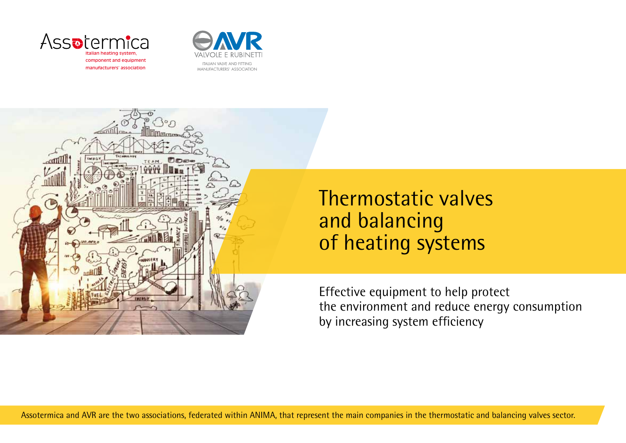





Thermostatic valves and balancing of heating systems

Effective equipment to help protect the environment and reduce energy consumption by increasing system efficiency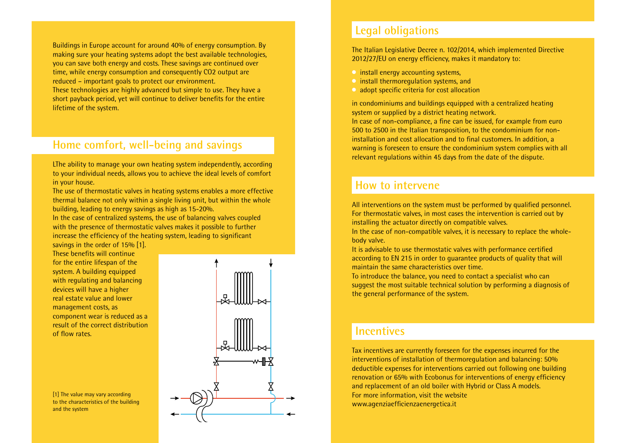Buildings in Europe account for around 40% of energy consumption. By making sure your heating systems adopt the best available technologies, you can save both energy and costs. These savings are continued over time, while energy consumption and consequently CO2 output are reduced – important goals to protect our environment. These technologies are highly advanced but simple to use. They have a short payback period, yet will continue to deliver benefits for the entire lifetime of the system.

#### **Home comfort, well-being and savings**

LThe ability to manage your own heating system independently, according to your individual needs, allows you to achieve the ideal levels of comfort in your house.

The use of thermostatic valves in heating systems enables a more effective thermal balance not only within a single living unit, but within the whole building, leading to energy savings as high as 15-20%.

In the case of centralized systems, the use of balancing valves coupled with the presence of thermostatic valves makes it possible to further increase the efficiency of the heating system, leading to significant

savings in the order of 15% [1]. These benefits will continue for the entire lifespan of the system. A building equipped with regulating and balancing devices will have a higher real estate value and lower management costs, as component wear is reduced as a result of the correct distribution of flow rates.

[1] The value may vary according to the characteristics of the building and the system



# **Legal obligations**

The Italian Legislative Decree n. 102/2014, which implemented Directive 2012/27/EU on energy efficiency, makes it mandatory to:

- $\bullet$  install energy accounting systems,
- $\bullet$  install thermoregulation systems, and
- **adopt specific criteria for cost allocation**

in condominiums and buildings equipped with a centralized heating system or supplied by a district heating network.

In case of non-compliance, a fine can be issued, for example from euro 500 to 2500 in the Italian transposition, to the condominium for noninstallation and cost allocation and to final customers. In addition, a warning is foreseen to ensure the condominium system complies with all relevant regulations within 45 days from the date of the dispute.

## **How to intervene**

All interventions on the system must be performed by qualified personnel. For thermostatic valves, in most cases the intervention is carried out by installing the actuator directly on compatible valves.

In the case of non-compatible valves, it is necessary to replace the wholebody valve.

It is advisable to use thermostatic valves with performance certified according to EN 215 in order to guarantee products of quality that will maintain the same characteristics over time.

To introduce the balance, you need to contact a specialist who can suggest the most suitable technical solution by performing a diagnosis of the general performance of the system.

## **Incentives**

Tax incentives are currently foreseen for the expenses incurred for the interventions of installation of thermoregulation and balancing: 50% deductible expenses for interventions carried out following one building renovation or 65% with Ecobonus for interventions of energy efficiency and replacement of an old boiler with Hybrid or Class A models. For more information, visit the website www.agenziaefficienzaenergetica.it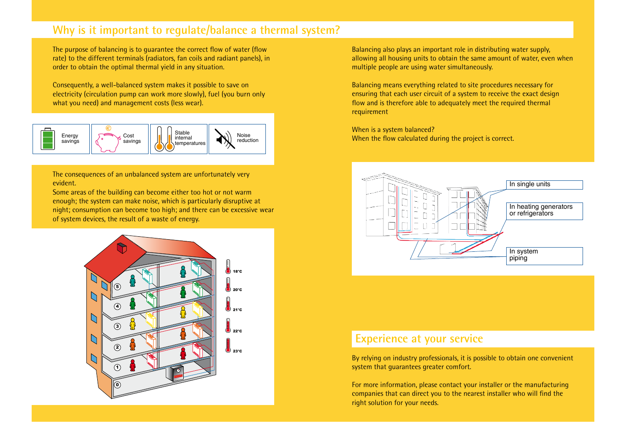## **Why is it important to regulate/balance a thermal system?**

The purpose of balancing is to guarantee the correct flow of water (flow rate) to the different terminals (radiators, fan coils and radiant panels), in order to obtain the optimal thermal yield in any situation.

Consequently, a well-balanced system makes it possible to save on electricity (circulation pump can work more slowly), fuel (you burn only what you need) and management costs (less wear).



The consequences of an unbalanced system are unfortunately very evident.

Some areas of the building can become either too hot or not warm enough; the system can make noise, which is particularly disruptive at night; consumption can become too high; and there can be excessive wear of system devices, the result of a waste of energy.



Balancing also plays an important role in distributing water supply, allowing all housing units to obtain the same amount of water, even when multiple people are using water simultaneously.

Balancing means everything related to site procedures necessary for ensuring that each user circuit of a system to receive the exact design flow and is therefore able to adequately meet the required thermal requirement

When is a system balanced? When the flow calculated during the project is correct.



#### **Experience at your service**

By relying on industry professionals, it is possible to obtain one convenient system that quarantees greater comfort.

For more information, please contact your installer or the manufacturing companies that can direct you to the nearest installer who will find the right solution for your needs.